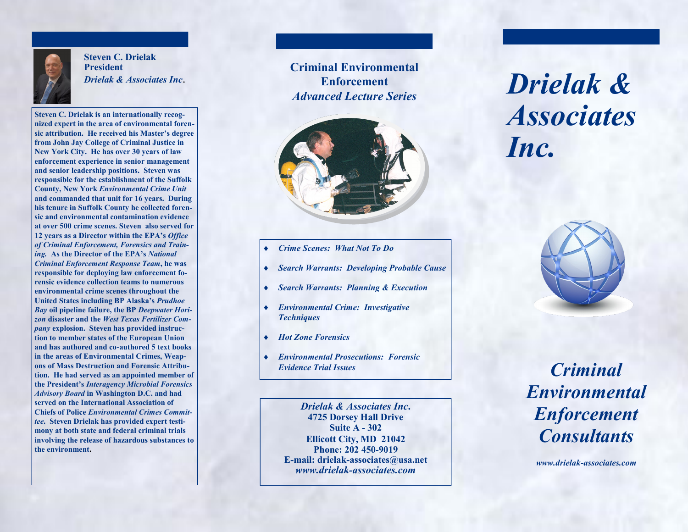

**Steven C. Drielak President**  *Drielak & Associates Inc*.

**Steven C. Drielak is an internationally recognized expert in the area of environmental forensic attribution. He received his Master's degree from John Jay College of Criminal Justice in New York City. He has over 30 years of law enforcement experience in senior management and senior leadership positions. Steven was responsible for the establishment of the Suffolk County, New York** *Environmental Crime Unit* **and commanded that unit for 16 years. During his tenure in Suffolk County he collected forensic and environmental contamination evidence at over 500 crime scenes. Steven also served for 12 years as a Director within the EPA's** *Office of Criminal Enforcement, Forensics and Training.* **As the Director of the EPA's** *National Criminal Enforcement Response Team***, he was responsible for deploying law enforcement forensic evidence collection teams to numerous environmental crime scenes throughout the United States including BP Alaska's** *Prudhoe Bay* **oil pipeline failure, the BP** *Deepwater Horizon* **disaster and the** *West Texas Fertilizer Company* **explosion. Steven has provided instruction to member states of the European Union and has authored and co-authored 5 text books in the areas of Environmental Crimes, Weapons of Mass Destruction and Forensic Attribution. He had served as an appointed member of the President's** *Interagency Microbial Forensics Advisory Board* **in Washington D.C. and had served on the International Association of Chiefs of Police** *Environmental Crimes Committee***. Steven Drielak has provided expert testimony at both state and federal criminal trials involving the release of hazardous substances to the environment.** 

**Criminal Environmental Enforcement**  *Advanced Lecture Series*



- *Crime Scenes: What Not To Do*
- *Search Warrants: Developing Probable Cause*
- *Search Warrants: Planning & Execution*
- *Environmental Crime: Investigative Techniques*
- *Hot Zone Forensics*
- *Environmental Prosecutions: Forensic Evidence Trial Issues*

*Drielak & Associates Inc***. 4725 Dorsey Hall Drive Suite A - 302 Ellicott City, MD 21042 Phone: 202 450-9019 E-mail: drielak-associates@usa.net** *www.drielak-associates.com*

*Drielak & Associates Inc.*



*Criminal Environmental Enforcement Consultants*

*www.drielak-associates.com*